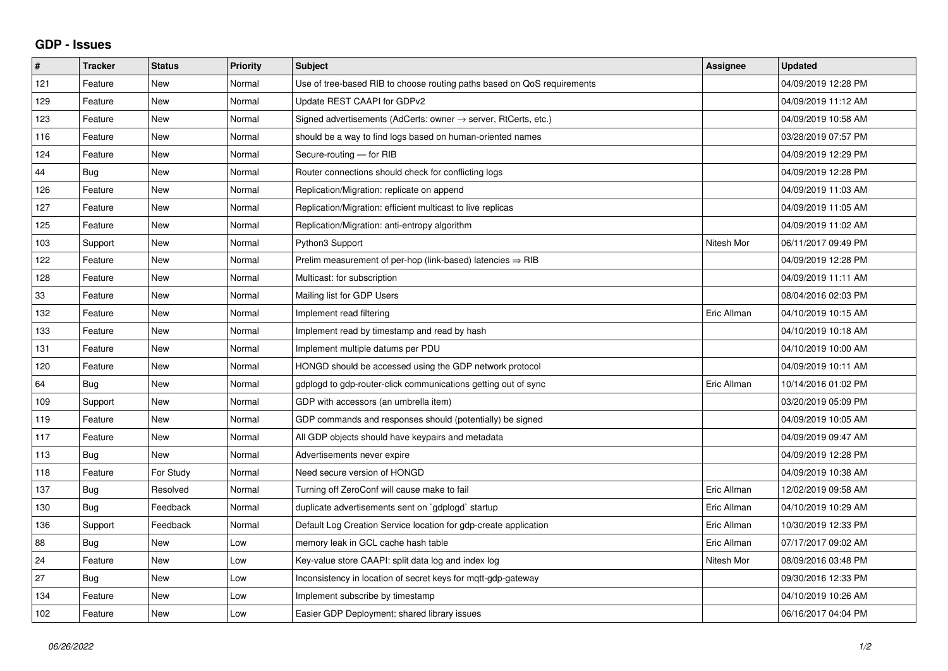## **GDP - Issues**

| #   | <b>Tracker</b> | <b>Status</b> | <b>Priority</b> | <b>Subject</b>                                                             | Assignee    | <b>Updated</b>      |
|-----|----------------|---------------|-----------------|----------------------------------------------------------------------------|-------------|---------------------|
| 121 | Feature        | <b>New</b>    | Normal          | Use of tree-based RIB to choose routing paths based on QoS requirements    |             | 04/09/2019 12:28 PM |
| 129 | Feature        | <b>New</b>    | Normal          | Update REST CAAPI for GDPv2                                                |             | 04/09/2019 11:12 AM |
| 123 | Feature        | <b>New</b>    | Normal          | Signed advertisements (AdCerts: owner $\rightarrow$ server, RtCerts, etc.) |             | 04/09/2019 10:58 AM |
| 116 | Feature        | <b>New</b>    | Normal          | should be a way to find logs based on human-oriented names                 |             | 03/28/2019 07:57 PM |
| 124 | Feature        | <b>New</b>    | Normal          | Secure-routing - for RIB                                                   |             | 04/09/2019 12:29 PM |
| 44  | <b>Bug</b>     | <b>New</b>    | Normal          | Router connections should check for conflicting logs                       |             | 04/09/2019 12:28 PM |
| 126 | Feature        | <b>New</b>    | Normal          | Replication/Migration: replicate on append                                 |             | 04/09/2019 11:03 AM |
| 127 | Feature        | <b>New</b>    | Normal          | Replication/Migration: efficient multicast to live replicas                |             | 04/09/2019 11:05 AM |
| 125 | Feature        | <b>New</b>    | Normal          | Replication/Migration: anti-entropy algorithm                              |             | 04/09/2019 11:02 AM |
| 103 | Support        | <b>New</b>    | Normal          | Python3 Support                                                            | Nitesh Mor  | 06/11/2017 09:49 PM |
| 122 | Feature        | <b>New</b>    | Normal          | Prelim measurement of per-hop (link-based) latencies $\Rightarrow$ RIB     |             | 04/09/2019 12:28 PM |
| 128 | Feature        | <b>New</b>    | Normal          | Multicast: for subscription                                                |             | 04/09/2019 11:11 AM |
| 33  | Feature        | <b>New</b>    | Normal          | Mailing list for GDP Users                                                 |             | 08/04/2016 02:03 PM |
| 132 | Feature        | <b>New</b>    | Normal          | Implement read filtering                                                   | Eric Allman | 04/10/2019 10:15 AM |
| 133 | Feature        | <b>New</b>    | Normal          | Implement read by timestamp and read by hash                               |             | 04/10/2019 10:18 AM |
| 131 | Feature        | <b>New</b>    | Normal          | Implement multiple datums per PDU                                          |             | 04/10/2019 10:00 AM |
| 120 | Feature        | <b>New</b>    | Normal          | HONGD should be accessed using the GDP network protocol                    |             | 04/09/2019 10:11 AM |
| 64  | Bug            | New           | Normal          | gdplogd to gdp-router-click communications getting out of sync             | Eric Allman | 10/14/2016 01:02 PM |
| 109 | Support        | <b>New</b>    | Normal          | GDP with accessors (an umbrella item)                                      |             | 03/20/2019 05:09 PM |
| 119 | Feature        | New           | Normal          | GDP commands and responses should (potentially) be signed                  |             | 04/09/2019 10:05 AM |
| 117 | Feature        | <b>New</b>    | Normal          | All GDP objects should have keypairs and metadata                          |             | 04/09/2019 09:47 AM |
| 113 | Bug            | New           | Normal          | Advertisements never expire                                                |             | 04/09/2019 12:28 PM |
| 118 | Feature        | For Study     | Normal          | Need secure version of HONGD                                               |             | 04/09/2019 10:38 AM |
| 137 | Bug            | Resolved      | Normal          | Turning off ZeroConf will cause make to fail                               | Eric Allman | 12/02/2019 09:58 AM |
| 130 | Bug            | Feedback      | Normal          | duplicate advertisements sent on `gdplogd` startup                         | Eric Allman | 04/10/2019 10:29 AM |
| 136 | Support        | Feedback      | Normal          | Default Log Creation Service location for gdp-create application           | Eric Allman | 10/30/2019 12:33 PM |
| 88  | Bug            | <b>New</b>    | Low             | memory leak in GCL cache hash table                                        | Eric Allman | 07/17/2017 09:02 AM |
| 24  | Feature        | <b>New</b>    | Low             | Key-value store CAAPI: split data log and index log                        | Nitesh Mor  | 08/09/2016 03:48 PM |
| 27  | Bug            | <b>New</b>    | Low             | Inconsistency in location of secret keys for mgtt-gdp-gateway              |             | 09/30/2016 12:33 PM |
| 134 | Feature        | New           | Low             | Implement subscribe by timestamp                                           |             | 04/10/2019 10:26 AM |
| 102 | Feature        | New           | Low             | Easier GDP Deployment: shared library issues                               |             | 06/16/2017 04:04 PM |